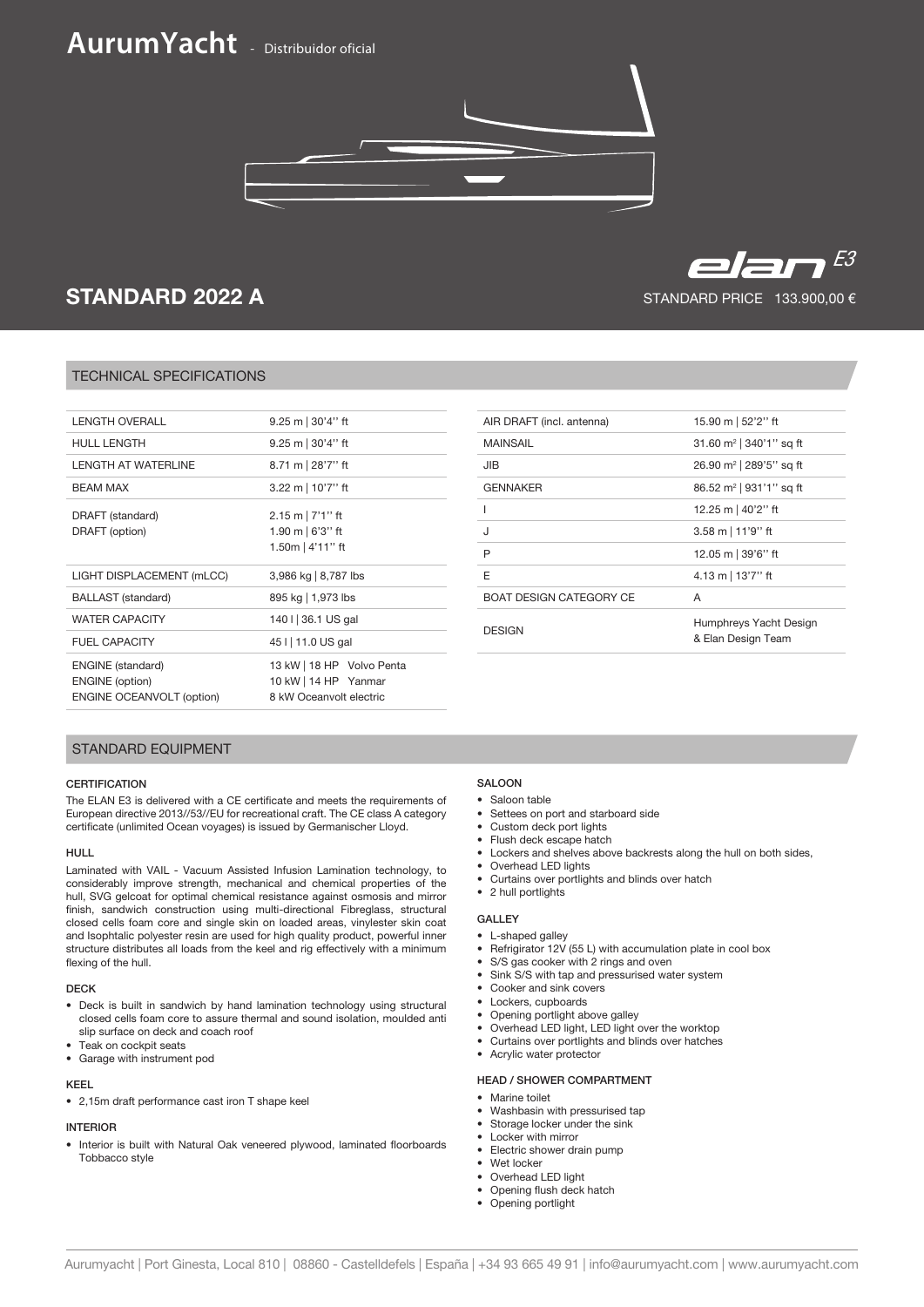# **AurumYacht** - Distribuidor oficial



## STANDARD 2022 A

### TECHNICAL SPECIFICATIONS

| <b>LENGTH OVERALL</b>                                                                  | 9.25 m $ 30'4''$ ft                                                          |
|----------------------------------------------------------------------------------------|------------------------------------------------------------------------------|
| <b>HULL LENGTH</b>                                                                     | 9.25 m $ 30'4''$ ft                                                          |
| I FNGTH AT WATFRI INF                                                                  | 8.71 m 28'7" ft                                                              |
| <b>BEAM MAX</b>                                                                        | 3.22 m   $10'7''$ ft                                                         |
| DRAFT (standard)<br>DRAFT (option)                                                     | $2.15 \text{ m}$   7'1" ft<br>1.90 m $\mid$ 6'3'' ft<br>1.50m   4'11" ft     |
| LIGHT DISPLACEMENT (mLCC)                                                              | 3,986 kg   8,787 lbs                                                         |
| <b>BALLAST</b> (standard)                                                              | 895 kg   1,973 lbs                                                           |
| <b>WATER CAPACITY</b>                                                                  | 140 I 36.1 US gal                                                            |
| <b>FUEL CAPACITY</b>                                                                   | 45 I   11.0 US gal                                                           |
| <b>ENGINE</b> (standard)<br><b>ENGINE</b> (option)<br><b>ENGINE OCEANVOLT (option)</b> | 13 kW   18 HP Volvo Penta<br>10 kW   14 HP Yanmar<br>8 kW Oceanvolt electric |

| AIR DRAFT (incl. antenna)      | 15.90 m   52'2" ft                           |
|--------------------------------|----------------------------------------------|
| <b>MAINSAIL</b>                | 31.60 $m^2$   340'1" sq ft                   |
| JIB                            | 26.90 m <sup>2</sup>   289'5" sq ft          |
| <b>GENNAKER</b>                | 86.52 m <sup>2</sup>   931'1" sq ft          |
|                                | 12.25 m   40'2" ft                           |
| J                              | $3.58 \text{ m}$   11'9'' ft                 |
| P                              | 12.05 m   39'6" ft                           |
| E                              | 4.13 m   $13'7''$ ft                         |
| <b>BOAT DESIGN CATEGORY CE</b> | A                                            |
| <b>DESIGN</b>                  | Humphreys Yacht Design<br>& Elan Design Team |
|                                |                                              |

#### STANDARD EQUIPMENT

#### **CERTIFICATION**

The ELAN E3 is delivered with a CE certificate and meets the requirements of European directive 2013//53//EU for recreational craft. The CE class A category certificate (unlimited Ocean voyages) is issued by Germanischer Lloyd.

#### HULL

Laminated with VAIL - Vacuum Assisted Infusion Lamination technology, to considerably improve strength, mechanical and chemical properties of the hull, SVG gelcoat for optimal chemical resistance against osmosis and mirror finish, sandwich construction using multi-directional Fibreglass, structural closed cells foam core and single skin on loaded areas, vinylester skin coat and Isophtalic polyester resin are used for high quality product, powerful inner structure distributes all loads from the keel and rig effectively with a minimum flexing of the hull.

#### DECK

- Deck is built in sandwich by hand lamination technology using structural closed cells foam core to assure thermal and sound isolation, moulded anti slip surface on deck and coach roof
- Teak on cockpit seats
- Garage with instrument pod

#### KEEL

• 2,15m draft performance cast iron T shape keel

### INTERIOR

• Interior is built with Natural Oak veneered plywood, laminated floorboards Tobbacco style

#### SALOON

- Saloon table
- Settees on port and starboard side
- Custom deck port lights
- Flush deck escape hatch
- Lockers and shelves above backrests along the hull on both sides,
- Overhead LED lights
- Curtains over portlights and blinds over hatch • 2 hull portlights

- GALLEY
- L-shaped galley
- Refrigirator 12V (55 L) with accumulation plate in cool box
- S/S gas cooker with 2 rings and oven
- Sink S/S with tap and pressurised water system
- Cooker and sink covers
- Lockers, cupboards
- Opening portlight above galley
- Overhead LED light, LED light over the worktop
- Curtains over portlights and blinds over hatches • Acrylic water protector

- HEAD / SHOWER COMPARTMENT
- Marine toilet
- Washbasin with pressurised tap
- Storage locker under the sink
- Locker with mirror
- Electric shower drain pump
- Wet locker
- Overhead LED light
- Opening flush deck hatch • Opening portlight
- Aurumyacht | Port Ginesta, Local 810 | 08860 Castelldefels | España | +34 93 665 49 91 | info@aurumyacht.com | www.aurumyacht.com



STANDARD PRICE 133.900,00 €